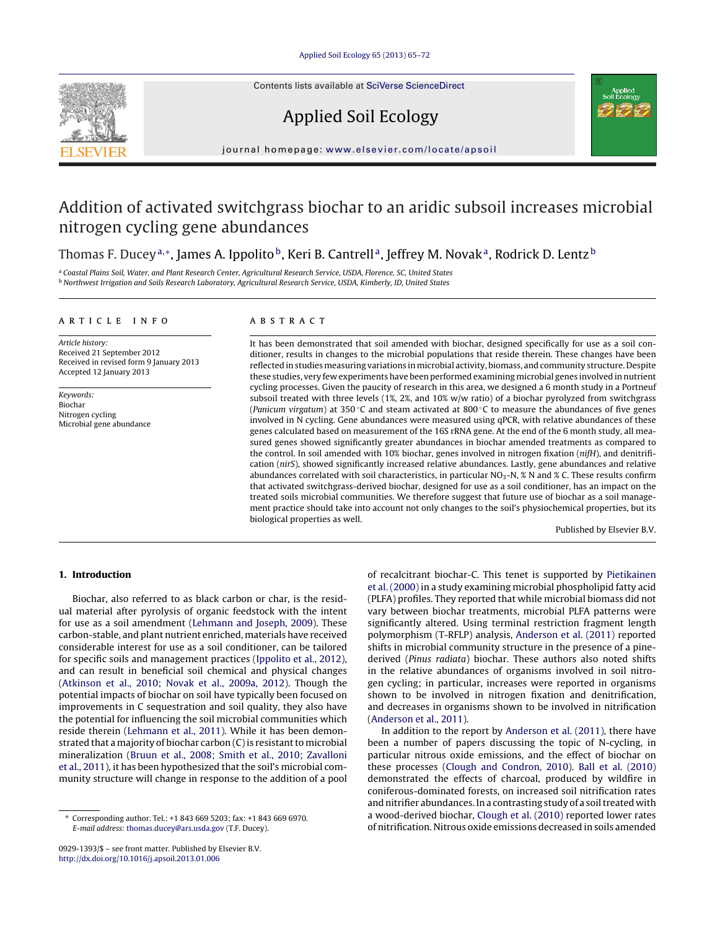Contents lists available at SciVerse [ScienceDirect](http://www.sciencedirect.com/science/journal/09291393)



Applied Soil Ecology



journal hom epage: [www.elsevier.com/locate/apsoil](http://www.elsevier.com/locate/apsoil)

# Addition of activated switchgrass biochar to an aridic subsoil increases microbial nitrogen cycling gene abundances

Thomas F. Ducey<sup>a,∗</sup>, James A. Ippolito<sup>b</sup>, Keri B. Cantrell<sup>a</sup>, Jeffrey M. Novak<sup>a</sup>, Rodrick D. Lentz<sup>b</sup>

a Coastal Plains Soil, Water, and Plant Research Center, Agricultural Research Service, USDA, Florence, SC, United States **b Northwest Irrigation and Soils Research Laboratory, Agricultural Research Service, USDA, Kimberly, ID, United States** 

## a r t i c l e i n f o

Article history: Received 21 September 2012 Received in revised form 9 January 2013 Accepted 12 January 2013

Keywords: Biochar Nitrogen cycling Microbial gene abundance

## A B S T R A C T

It has been demonstrated that soil amended with biochar, designed specifically for use as a soil conditioner, results in changes to the microbial populations that reside therein. These changes have been reflected in studies measuring variations in microbial activity, biomass, and community structure. Despite these studies, very few experiments have been performed examining microbial genes involved in nutrient cycling processes. Given the paucity of research in this area, we designed a 6 month study in a Portneuf subsoil treated with three levels (1%, 2%, and 10% w/w ratio) of a biochar pyrolyzed from switchgrass (Panicum virgatum) at 350 °C and steam activated at 800 °C to measure the abundances of five genes involved in N cycling. Gene abundances were measured using qPCR, with relative abundances of these genes calculated based on measurement of the 16S rRNA gene. At the end of the 6 month study, all measured genes showed significantly greater abundances in biochar amended treatments as compared to the control. In soil amended with 10% biochar, genes involved in nitrogen fixation (nifH), and denitrification (nirS), showed significantly increased relative abundances. Lastly, gene abundances and relative abundances correlated with soil characteristics, in particular  $NO_3-N$ ,  $\%$  N and  $\%$  C. These results confirm that activated switchgrass-derived biochar, designed for use as a soil conditioner, has an impact on the treated soils microbial communities. We therefore suggest that future use of biochar as a soil management practice should take into account not only changes to the soil's physiochemical properties, but its biological properties as well.

Published by Elsevier B.V.

## **1. Introduction**

Biochar, also referred to as black carbon or char, is the residual material after pyrolysis of organic feedstock with the intent for use as a soil amendment [\(Lehmann](#page-7-0) [and](#page-7-0) [Joseph,](#page-7-0) [2009\).](#page-7-0) These carbon-stable, and plant nutrient enriched, materials have received considerable interest for use as a soil conditioner, can be tailored for specific soils and management practices [\(Ippolito](#page-7-0) et [al.,](#page-7-0) [2012\),](#page-7-0) and can result in beneficial soil chemical and physical changes ([Atkinson](#page-7-0) et [al.,](#page-7-0) [2010;](#page-7-0) [Novak](#page-7-0) et [al.,](#page-7-0) [2009a,](#page-7-0) [2012\).](#page-7-0) Though the potential impacts of biochar on soil have typically been focused on improvements in C sequestration and soil quality, they also have the potential for influencing the soil microbial communities which reside therein ([Lehmann](#page-7-0) et [al.,](#page-7-0) [2011\).](#page-7-0) While it has been demonstrated that a majority of biochar carbon  $(C)$  is resistant to microbial mineralization [\(Bruun](#page-7-0) et [al.,](#page-7-0) [2008;](#page-7-0) [Smith](#page-7-0) et [al.,](#page-7-0) [2010;](#page-7-0) [Zavalloni](#page-7-0) et [al.,](#page-7-0) [2011\),](#page-7-0) it has been hypothesized that the soil's microbial community structure will change in response to the addition of a pool

of recalcitrant biochar-C. This tenet is supported by [Pietikainen](#page-7-0) et [al.](#page-7-0) [\(2000\)](#page-7-0) in a study examining microbial phospholipid fatty acid (PLFA) profiles. They reported that while microbial biomass did not vary between biochar treatments, microbial PLFA patterns were significantly altered. Using terminal restriction fragment length polymorphism (T-RFLP) analysis, [Anderson](#page-6-0) et [al.](#page-6-0) [\(2011\)](#page-6-0) reported shifts in microbial community structure in the presence of a pinederived (Pinus radiata) biochar. These authors also noted shifts in the relative abundances of organisms involved in soil nitrogen cycling; in particular, increases were reported in organisms shown to be involved in nitrogen fixation and denitrification, and decreases in organisms shown to be involved in nitrification [\(Anderson](#page-6-0) et [al.,](#page-6-0) [2011\).](#page-6-0)

In addition to the report by [Anderson](#page-6-0) et [al.](#page-6-0) [\(2011\),](#page-6-0) there have been a number of papers discussing the topic of N-cycling, in particular nitrous oxide emissions, and the effect of biochar on these processes ([Clough](#page-7-0) [and](#page-7-0) [Condron,](#page-7-0) [2010\).](#page-7-0) [Ball](#page-7-0) et [al.](#page-7-0) [\(2010\)](#page-7-0) demonstrated the effects of charcoal, produced by wildfire in coniferous-dominated forests, on increased soil nitrification rates and nitrifier abundances. In a contrasting study of a soil treated with a wood-derived biochar, [Clough](#page-7-0) et [al.](#page-7-0) [\(2010\)](#page-7-0) reported lower rates of nitrification. Nitrous oxide emissions decreased in soils amended

<sup>∗</sup> Corresponding author. Tel.: +1 843 669 5203; fax: +1 843 669 6970. E-mail address: [thomas.ducey@ars.usda.gov](mailto:thomas.ducey@ars.usda.gov) (T.F. Ducey).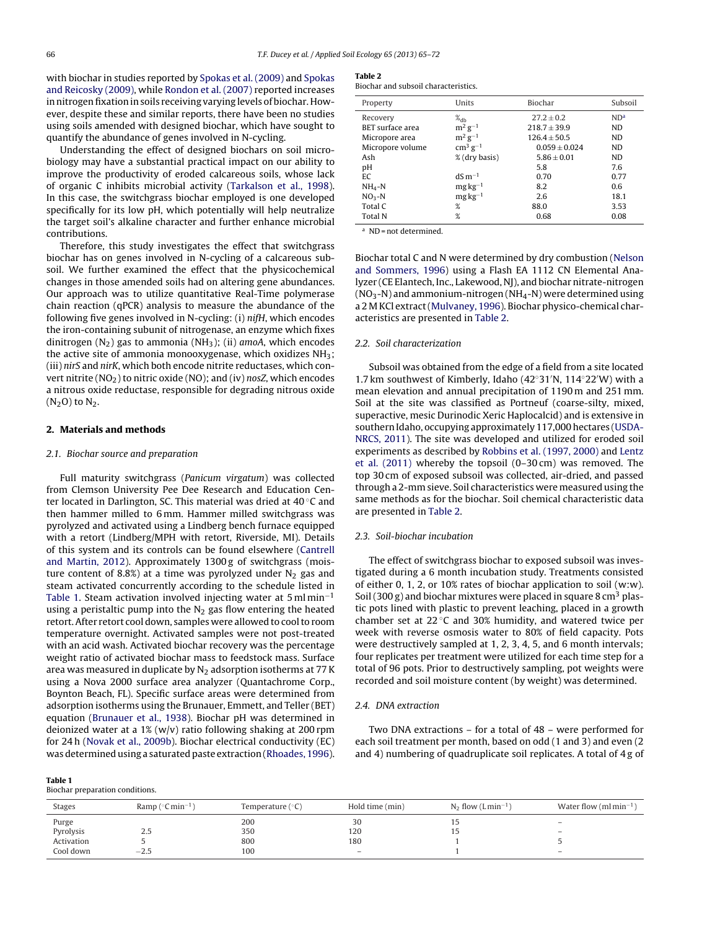<span id="page-1-0"></span>with biochar in studies reported by [Spokas](#page-7-0) et [al.](#page-7-0) [\(2009\)](#page-7-0) and [Spokas](#page-7-0) [and](#page-7-0) [Reicosky](#page-7-0) [\(2009\),](#page-7-0) while [Rondon](#page-7-0) et [al.](#page-7-0) [\(2007\)](#page-7-0) reported increases in nitrogen fixation in soils receiving varying levels of biochar. However, despite these and similar reports, there have been no studies using soils amended with designed biochar, which have sought to quantify the abundance of genes involved in N-cycling.

Understanding the effect of designed biochars on soil microbiology may have a substantial practical impact on our ability to improve the productivity of eroded calcareous soils, whose lack of organic C inhibits microbial activity ([Tarkalson](#page-7-0) et [al.,](#page-7-0) [1998\).](#page-7-0) In this case, the switchgrass biochar employed is one developed specifically for its low pH, which potentially will help neutralize the target soil's alkaline character and further enhance microbial contributions.

Therefore, this study investigates the effect that switchgrass biochar has on genes involved in N-cycling of a calcareous subsoil. We further examined the effect that the physicochemical changes in those amended soils had on altering gene abundances. Our approach was to utilize quantitative Real-Time polymerase chain reaction (qPCR) analysis to measure the abundance of the following five genes involved in N-cycling: (i) nifH, which encodes the iron-containing subunit of nitrogenase, an enzyme which fixes dinitrogen  $(N_2)$  gas to ammonia  $(NH_3)$ ; (ii) amoA, which encodes the active site of ammonia monooxygenase, which oxidizes  $NH<sub>3</sub>$ ; (iii) nirS and nirK, which both encode nitrite reductases, which convert nitrite ( $NO<sub>2</sub>$ ) to nitric oxide ( $NO$ ); and (iv) nosZ, which encodes a nitrous oxide reductase, responsible for degrading nitrous oxide  $(N_2O)$  to  $N_2$ .

## **2. Materials and methods**

## 2.1. Biochar source and preparation

Full maturity switchgrass (Panicum virgatum) was collected from Clemson University Pee Dee Research and Education Center located in Darlington, SC. This material was dried at 40 ◦C and then hammer milled to 6 mm. Hammer milled switchgrass was pyrolyzed and activated using a Lindberg bench furnace equipped with a retort (Lindberg/MPH with retort, Riverside, MI). Details of this system and its controls can be found elsewhere [\(Cantrell](#page-7-0) [and](#page-7-0) [Martin,](#page-7-0) [2012\).](#page-7-0) Approximately 1300 g of switchgrass (moisture content of 8.8%) at a time was pyrolyzed under  $N_2$  gas and steam activated concurrently according to the schedule listed in Table 1. Steam activation involved injecting water at 5 ml min<sup>-1</sup> using a peristaltic pump into the  $N_2$  gas flow entering the heated retort. After retort cool down, samples were allowed to cool to room temperature overnight. Activated samples were not post-treated with an acid wash. Activated biochar recovery was the percentage weight ratio of activated biochar mass to feedstock mass. Surface area was measured in duplicate by  $N_2$  adsorption isotherms at 77 K using a Nova 2000 surface area analyzer (Quantachrome Corp., Boynton Beach, FL). Specific surface areas were determined from adsorption isotherms using the Brunauer, Emmett, and Teller (BET) equation [\(Brunauer](#page-7-0) et [al.,](#page-7-0) [1938\).](#page-7-0) Biochar pH was determined in deionized water at a 1% (w/v) ratio following shaking at 200 rpm for 24 h ([Novak](#page-7-0) et [al.,](#page-7-0) [2009b\).](#page-7-0) Biochar electrical conductivity (EC) was determined using a saturated paste extraction ([Rhoades,](#page-7-0) [1996\).](#page-7-0)

|--|--|

Biochar preparation conditions.

## **Table 2**

| Biochar and subsoil characteristics. |  |
|--------------------------------------|--|
|--------------------------------------|--|

| Property                | Units              | Biochar           | Subsoil         |
|-------------------------|--------------------|-------------------|-----------------|
| Recovery                | $\%$ db            | $27.2 \pm 0.2$    | ND <sup>a</sup> |
| <b>BET</b> surface area | $m^2 g^{-1}$       | $218.7 \pm 39.9$  | ND.             |
| Micropore area          | $m^2 g^{-1}$       | $126.4 \pm 50.5$  | ND.             |
| Micropore volume        | $\rm cm^3\,g^{-1}$ | $0.059 \pm 0.024$ | ND.             |
| Ash                     | % (dry basis)      | $5.86 \pm 0.01$   | ND.             |
| pH                      |                    | 5.8               | 7.6             |
| EC                      | $dS m^{-1}$        | 0.70              | 0.77            |
| $NH4-N$                 | $mg\,kg^{-1}$      | 8.2               | 0.6             |
| $NO3-N$                 | $mg\,kg^{-1}$      | 2.6               | 18.1            |
| Total C                 | %                  | 88.0              | 3.53            |
| <b>Total N</b>          | %                  | 0.68              | 0.08            |

<sup>a</sup> ND = not determined.

Biochar total C and N were determined by dry combustion ([Nelson](#page-7-0) [and](#page-7-0) [Sommers,](#page-7-0) [1996\)](#page-7-0) using a Flash EA 1112 CN Elemental Analyzer (CE Elantech, Inc., Lakewood, NJ), and biochar nitrate-nitrogen  $(NO<sub>3</sub>-N)$  and ammonium-nitrogen  $(NH<sub>4</sub>-N)$  were determined using a 2 M KCl extract([Mulvaney,](#page-7-0) [1996\).](#page-7-0) Biochar physico-chemical characteristics are presented in Table 2.

#### 2.2. Soil characterization

Subsoil was obtained from the edge of a field from a site located 1.7 km southwest of Kimberly, Idaho (42◦31 N, 114◦22 W) with a mean elevation and annual precipitation of 1190 m and 251 mm. Soil at the site was classified as Portneuf (coarse-silty, mixed, superactive, mesic Durinodic Xeric Haplocalcid) and is extensive in southern Idaho, occupying approximately 117,000 hectares ([USDA-](#page-7-0)NRCS, [2011\).](#page-7-0) The site was developed and utilized for eroded soil experiments as described by [Robbins](#page-7-0) et [al.](#page-7-0) [\(1997,](#page-7-0) [2000\)](#page-7-0) and [Lentz](#page-7-0) et [al.](#page-7-0) [\(2011\)](#page-7-0) whereby the topsoil (0–30 cm) was removed. The top 30 cm of exposed subsoil was collected, air-dried, and passed through a 2-mm sieve. Soil characteristics were measured using the same methods as for the biochar. Soil chemical characteristic data are presented in Table 2.

#### 2.3. Soil-biochar incubation

The effect of switchgrass biochar to exposed subsoil was investigated during a 6 month incubation study. Treatments consisted of either 0, 1, 2, or 10% rates of biochar application to soil (w:w). Soil (300 g) and biochar mixtures were placed in square 8 cm<sup>3</sup> plastic pots lined with plastic to prevent leaching, placed in a growth chamber set at 22 ◦C and 30% humidity, and watered twice per week with reverse osmosis water to 80% of field capacity. Pots were destructively sampled at 1, 2, 3, 4, 5, and 6 month intervals; four replicates per treatment were utilized for each time step for a total of 96 pots. Prior to destructively sampling, pot weights were recorded and soil moisture content (by weight) was determined.

#### 2.4. DNA extraction

Two DNA extractions – for a total of 48 – were performed for each soil treatment per month, based on odd (1 and 3) and even (2 and 4) numbering of quadruplicate soil replicates. A total of 4 g of

| <b>Stages</b> | Ramp ( $\degree$ C min <sup>-1</sup> | Temperature $(°C)$ | Hold time (min) | $N_2$ flow (Lmin <sup>-1)</sup> | Water flow (ml min <sup>-1</sup> ) |
|---------------|--------------------------------------|--------------------|-----------------|---------------------------------|------------------------------------|
| Purge         |                                      | 200                | 30              |                                 | $\qquad \qquad -$                  |
| Pyrolysis     | 2.5                                  | 350                | 120             |                                 | $\qquad \qquad -$                  |
| Activation    |                                      | 800                | 180             |                                 |                                    |
| Cool down     | $-2.5$                               | 100                |                 |                                 | $\overline{\phantom{a}}$           |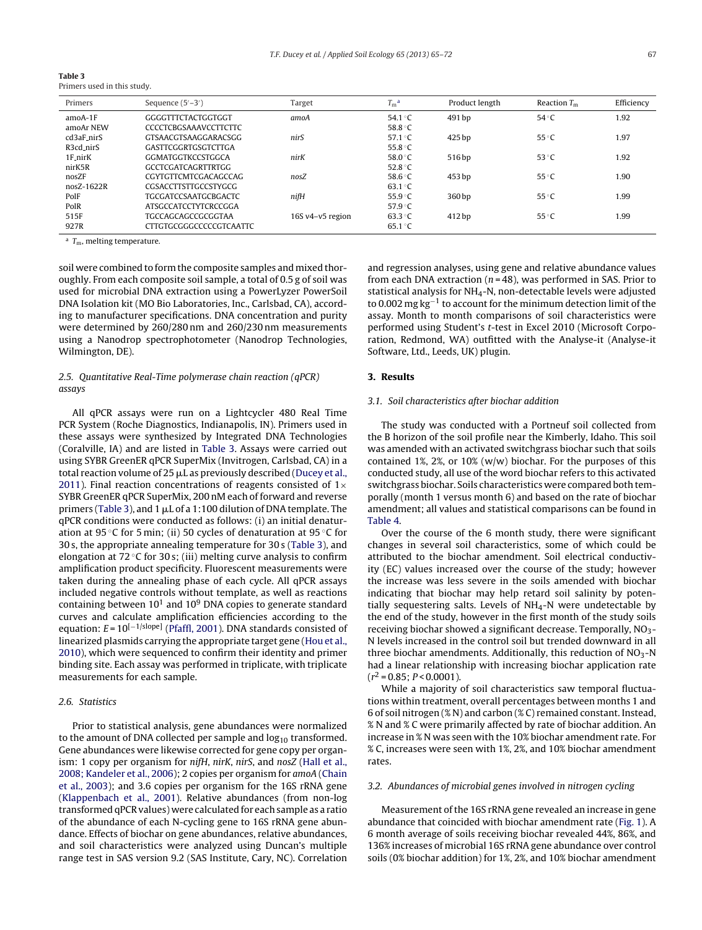| Table 3                     |  |  |
|-----------------------------|--|--|
| Primers used in this study. |  |  |

| Primers    | Sequence $(5'-3')$             | Target           | $T_{\rm m}^{\rm a}$ | Product length | Reaction $T_m$ | Efficiency |
|------------|--------------------------------|------------------|---------------------|----------------|----------------|------------|
| $amoA-1F$  | GGGGTTTCTACTGGTGGT             | amoA             | 54.1 $\degree$ C    | 491 bp         | $54^{\circ}$ C | 1.92       |
| amoAr NEW  | <b>CCCCTCBGSAAAVCCTTCTTC</b>   |                  | 58.8 °C             |                |                |            |
| cd3aF_nirS | <b>GTSAACGTSAAGGARACSGG</b>    | nir.S            | 57.1 $\degree$ C    | 425 bp         | $55^{\circ}$ C | 1.97       |
| R3cd_nirS  | <b>GASTTCGGRTGSGTCTTGA</b>     |                  | 55.8 $\degree$ C    |                |                |            |
| 1F_nirK    | GGMATGGTKCCSTGGCA              | nirK             | 58.0 $\degree$ C    | 516 bp         | 53 $\degree$ C | 1.92       |
| nirK5R     | <b>GCCTCGATCAGRTTRTGG</b>      |                  | 52.8 $\degree$ C    |                |                |            |
| nosZF      | <b>CGYTGTTCMTCGACAGCCAG</b>    | nosZ             | 58.6 $°C$           | 453 bp         | $55^{\circ}$ C | 1.90       |
| nosZ-1622R | <b>CGSACCTTSTTGCCSTYGCG</b>    |                  | 63.1 °C             |                |                |            |
| PolF       | <b>TGCGATCCSAATGCBGACTC</b>    | nifH             | 55.9 $\degree$ C    | 360 bp         | $55^{\circ}$ C | 1.99       |
| PolR       | <b>ATSGCCATCCTYTCRCCGGA</b>    |                  | 57.9 $\degree$ C    |                |                |            |
| 515F       | <b>TGCCAGCAGCCGCGGTAA</b>      | 16S v4-v5 region | $63.3 \degree C$    | 412 bp         | $55^{\circ}$ C | 1.99       |
| 927R       | <b>CTTGTGCGGGCCCCCGTCAATTC</b> |                  | $65.1^{\circ}$ C    |                |                |            |

 $a$  T<sub>m</sub>, melting temperature.

soil were combined to form the composite samples and mixed thoroughly. From each composite soil sample, a total of 0.5 g of soil was used for microbial DNA extraction using a PowerLyzer PowerSoil DNA Isolation kit (MO Bio Laboratories, Inc., Carlsbad, CA), according to manufacturer specifications. DNA concentration and purity were determined by 260/280 nm and 260/230 nm measurements using a Nanodrop spectrophotometer (Nanodrop Technologies, Wilmington, DE).

## 2.5. Quantitative Real-Time polymerase chain reaction (qPCR) assays

All qPCR assays were run on a Lightcycler 480 Real Time PCR System (Roche Diagnostics, Indianapolis, IN). Primers used in these assays were synthesized by Integrated DNA Technologies (Coralville, IA) and are listed in Table 3. Assays were carried out using SYBR GreenER qPCR SuperMix (Invitrogen, Carlsbad, CA) in a total reaction volume of 25  $\mu$ L as previously described [\(Ducey](#page-7-0) et [al.,](#page-7-0) [2011\).](#page-7-0) Final reaction concentrations of reagents consisted of  $1\times$ SYBR GreenER qPCR SuperMix, 200 nM each of forward and reverse primers (Table 3), and 1  $\mu$ L of a 1:100 dilution of DNA template. The qPCR conditions were conducted as follows: (i) an initial denaturation at 95 ◦C for 5 min; (ii) 50 cycles of denaturation at 95 ◦C for 30 s, the appropriate annealing temperature for 30 s (Table 3), and elongation at 72  $\degree$ C for 30 s; (iii) melting curve analysis to confirm amplification product specificity. Fluorescent measurements were taken during the annealing phase of each cycle. All qPCR assays included negative controls without template, as well as reactions containing between  $10^1$  and  $10^9$  DNA copies to generate standard curves and calculate amplification efficiencies according to the equation:  $E = 10^{[-1/slope]}$  ([Pfaffl,](#page-7-0) [2001\).](#page-7-0) DNA standards consisted of linearized plasmids carrying the appropriate target gene ([Hou](#page-7-0) et [al.,](#page-7-0) [2010\),](#page-7-0) which were sequenced to confirm their identity and primer binding site. Each assay was performed in triplicate, with triplicate measurements for each sample.

## 2.6. Statistics

Prior to statistical analysis, gene abundances were normalized to the amount of DNA collected per sample and  $log_{10}$  transformed. Gene abundances were likewise corrected for gene copy per organ-ism: 1 copy per organism for nifH, nirK, nirS, and nosZ ([Hall](#page-7-0) et [al.,](#page-7-0) [2008;](#page-7-0) [Kandeler](#page-7-0) et [al.,](#page-7-0) [2006\);](#page-7-0) 2 copies per organism for amoA [\(Chain](#page-7-0) et [al.,](#page-7-0) [2003\);](#page-7-0) and 3.6 copies per organism for the 16S rRNA gene ([Klappenbach](#page-7-0) et [al.,](#page-7-0) [2001\).](#page-7-0) Relative abundances (from non-log transformed qPCR values) were calculated for each sample as a ratio of the abundance of each N-cycling gene to 16S rRNA gene abundance. Effects of biochar on gene abundances, relative abundances, and soil characteristics were analyzed using Duncan's multiple range test in SAS version 9.2 (SAS Institute, Cary, NC). Correlation and regression analyses, using gene and relative abundance values from each DNA extraction ( $n = 48$ ), was performed in SAS. Prior to statistical analysis for NH4-N, non-detectable levels were adjusted to 0.002 mg kg<sup>-1</sup> to account for the minimum detection limit of the assay. Month to month comparisons of soil characteristics were performed using Student's t-test in Excel 2010 (Microsoft Corporation, Redmond, WA) outfitted with the Analyse-it (Analyse-it Software, Ltd., Leeds, UK) plugin.

## **3. Results**

## 3.1. Soil characteristics after biochar addition

The study was conducted with a Portneuf soil collected from the B horizon of the soil profile near the Kimberly, Idaho. This soil was amended with an activated switchgrass biochar such that soils contained 1%, 2%, or 10% (w/w) biochar. For the purposes of this conducted study, all use of the word biochar refers to this activated switchgrass biochar. Soils characteristics were compared both temporally (month 1 versus month 6) and based on the rate of biochar amendment; all values and statistical comparisons can be found in [Table](#page-3-0) 4.

Over the course of the 6 month study, there were significant changes in several soil characteristics, some of which could be attributed to the biochar amendment. Soil electrical conductivity (EC) values increased over the course of the study; however the increase was less severe in the soils amended with biochar indicating that biochar may help retard soil salinity by potentially sequestering salts. Levels of  $NH<sub>4</sub>-N$  were undetectable by the end of the study, however in the first month of the study soils receiving biochar showed a significant decrease. Temporally, NO3- N levels increased in the control soil but trended downward in all three biochar amendments. Additionally, this reduction of  $NO<sub>3</sub>-N$ had a linear relationship with increasing biochar application rate  $(r^2 = 0.85; P < 0.0001)$ .

While a majority of soil characteristics saw temporal fluctuations within treatment, overall percentages between months 1 and 6 of soil nitrogen (% N) and carbon (% C) remained constant. Instead, % N and % C were primarily affected by rate of biochar addition. An increase in % N was seen with the 10% biochar amendment rate. For % C, increases were seen with 1%, 2%, and 10% biochar amendment rates.

### 3.2. Abundances of microbial genes involved in nitrogen cycling

Measurement of the 16S rRNA gene revealed an increase in gene abundance that coincided with biochar amendment rate [\(Fig.](#page-3-0) 1). A 6 month average of soils receiving biochar revealed 44%, 86%, and 136% increases of microbial 16S rRNA gene abundance over control soils (0% biochar addition) for 1%, 2%, and 10% biochar amendment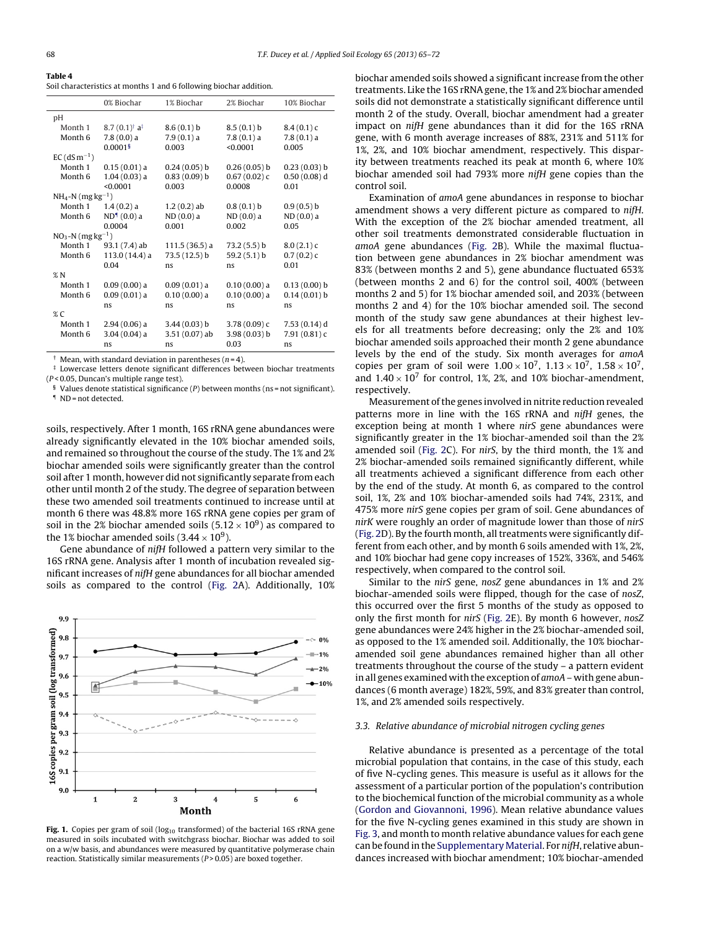<span id="page-3-0"></span>

| Table 4                                                            |  |
|--------------------------------------------------------------------|--|
| Soil characteristics at months 1 and 6 following biochar addition. |  |

| 0% Biochar<br>1% Biochar<br>2% Biochar<br>10% Biochar<br>рH<br>Month 1<br>$8.7(0.1)^{\dagger} a^{\ddagger}$<br>8.6(0.1) b<br>8.5(0.1) b<br>8.4(0.1)c<br>$7.8(0.0)$ a<br>$7.9(0.1)$ a<br>7.8(0.1) a<br>Month 6<br>$7.8(0.1)$ a<br>$0.0001$ <sup>§</sup><br>0.003<br>< 0.0001<br>0.005<br>$EC$ (dS m <sup>-1</sup> )<br>Month 1<br>$0.15(0.01)$ a<br>$0.24(0.05)$ b<br>0.26(0.05) b<br>0.23(0.03) b<br>$0.50(0.08)$ d<br>$1.04(0.03)$ a<br>0.83(0.09) b<br>0.67(0.02)c<br>Month 6<br>< 0.0001<br>0.003<br>0.0008<br>0.01<br>$NH_4-N$ (mg kg <sup>-1</sup> )<br>Month 1<br>1.4(0.2) a<br>$1.2(0.2)$ ab<br>0.8(0.1) b<br>0.9(0.5) b<br>ND <sup>1</sup> (0.0) a<br>$ND(0.0)$ a<br>$ND(0.0)$ a<br>$ND(0.0)$ a<br>Month 6<br>0.0004<br>0.001<br>0.002<br>0.05<br>$NO_3-N$ (mg $kg^{-1}$ )<br>Month 1<br>93.1 (7.4) ab<br>$111.5(36.5)$ a<br>73.2(5.5)b<br>8.0(2.1)c<br>$113.0(14.4)$ a<br>73.5 (12.5) b<br>59.2 $(5.1)$ b<br>0.7(0.2)c<br>Month 6<br>0.04<br>0.01<br>ns<br>ns<br>%N<br>$0.09(0.00)$ a<br>Month 1<br>0.09(0.01)a<br>0.10(0.00) a<br>$0.13(0.00)$ b<br>$0.09(0.01)$ a<br>$0.10(0.00)$ a<br>$0.10(0.00)$ a<br>$0.14(0.01)$ b<br>Month 6<br>ns<br>ns<br>ns<br>ns<br>%C<br>Month 1<br>$2.94(0.06)$ a<br>3.44(0.03) b<br>$3.78(0.09)$ c<br>7.53 (0.14) d<br>$3.04(0.04)$ a<br>$3.51(0.07)$ ab<br>3.98(0.03) b<br>7.91(0.81)c<br>Month <sub>6</sub><br>0.03<br>ns<br>ns<br>ns |  |  |  |
|---------------------------------------------------------------------------------------------------------------------------------------------------------------------------------------------------------------------------------------------------------------------------------------------------------------------------------------------------------------------------------------------------------------------------------------------------------------------------------------------------------------------------------------------------------------------------------------------------------------------------------------------------------------------------------------------------------------------------------------------------------------------------------------------------------------------------------------------------------------------------------------------------------------------------------------------------------------------------------------------------------------------------------------------------------------------------------------------------------------------------------------------------------------------------------------------------------------------------------------------------------------------------------------------------------------------------------------------------------------------------------|--|--|--|
|                                                                                                                                                                                                                                                                                                                                                                                                                                                                                                                                                                                                                                                                                                                                                                                                                                                                                                                                                                                                                                                                                                                                                                                                                                                                                                                                                                                 |  |  |  |
|                                                                                                                                                                                                                                                                                                                                                                                                                                                                                                                                                                                                                                                                                                                                                                                                                                                                                                                                                                                                                                                                                                                                                                                                                                                                                                                                                                                 |  |  |  |
|                                                                                                                                                                                                                                                                                                                                                                                                                                                                                                                                                                                                                                                                                                                                                                                                                                                                                                                                                                                                                                                                                                                                                                                                                                                                                                                                                                                 |  |  |  |
|                                                                                                                                                                                                                                                                                                                                                                                                                                                                                                                                                                                                                                                                                                                                                                                                                                                                                                                                                                                                                                                                                                                                                                                                                                                                                                                                                                                 |  |  |  |
|                                                                                                                                                                                                                                                                                                                                                                                                                                                                                                                                                                                                                                                                                                                                                                                                                                                                                                                                                                                                                                                                                                                                                                                                                                                                                                                                                                                 |  |  |  |
|                                                                                                                                                                                                                                                                                                                                                                                                                                                                                                                                                                                                                                                                                                                                                                                                                                                                                                                                                                                                                                                                                                                                                                                                                                                                                                                                                                                 |  |  |  |
|                                                                                                                                                                                                                                                                                                                                                                                                                                                                                                                                                                                                                                                                                                                                                                                                                                                                                                                                                                                                                                                                                                                                                                                                                                                                                                                                                                                 |  |  |  |
|                                                                                                                                                                                                                                                                                                                                                                                                                                                                                                                                                                                                                                                                                                                                                                                                                                                                                                                                                                                                                                                                                                                                                                                                                                                                                                                                                                                 |  |  |  |
|                                                                                                                                                                                                                                                                                                                                                                                                                                                                                                                                                                                                                                                                                                                                                                                                                                                                                                                                                                                                                                                                                                                                                                                                                                                                                                                                                                                 |  |  |  |
|                                                                                                                                                                                                                                                                                                                                                                                                                                                                                                                                                                                                                                                                                                                                                                                                                                                                                                                                                                                                                                                                                                                                                                                                                                                                                                                                                                                 |  |  |  |
|                                                                                                                                                                                                                                                                                                                                                                                                                                                                                                                                                                                                                                                                                                                                                                                                                                                                                                                                                                                                                                                                                                                                                                                                                                                                                                                                                                                 |  |  |  |
|                                                                                                                                                                                                                                                                                                                                                                                                                                                                                                                                                                                                                                                                                                                                                                                                                                                                                                                                                                                                                                                                                                                                                                                                                                                                                                                                                                                 |  |  |  |
|                                                                                                                                                                                                                                                                                                                                                                                                                                                                                                                                                                                                                                                                                                                                                                                                                                                                                                                                                                                                                                                                                                                                                                                                                                                                                                                                                                                 |  |  |  |
|                                                                                                                                                                                                                                                                                                                                                                                                                                                                                                                                                                                                                                                                                                                                                                                                                                                                                                                                                                                                                                                                                                                                                                                                                                                                                                                                                                                 |  |  |  |
|                                                                                                                                                                                                                                                                                                                                                                                                                                                                                                                                                                                                                                                                                                                                                                                                                                                                                                                                                                                                                                                                                                                                                                                                                                                                                                                                                                                 |  |  |  |
|                                                                                                                                                                                                                                                                                                                                                                                                                                                                                                                                                                                                                                                                                                                                                                                                                                                                                                                                                                                                                                                                                                                                                                                                                                                                                                                                                                                 |  |  |  |
|                                                                                                                                                                                                                                                                                                                                                                                                                                                                                                                                                                                                                                                                                                                                                                                                                                                                                                                                                                                                                                                                                                                                                                                                                                                                                                                                                                                 |  |  |  |
|                                                                                                                                                                                                                                                                                                                                                                                                                                                                                                                                                                                                                                                                                                                                                                                                                                                                                                                                                                                                                                                                                                                                                                                                                                                                                                                                                                                 |  |  |  |
|                                                                                                                                                                                                                                                                                                                                                                                                                                                                                                                                                                                                                                                                                                                                                                                                                                                                                                                                                                                                                                                                                                                                                                                                                                                                                                                                                                                 |  |  |  |
|                                                                                                                                                                                                                                                                                                                                                                                                                                                                                                                                                                                                                                                                                                                                                                                                                                                                                                                                                                                                                                                                                                                                                                                                                                                                                                                                                                                 |  |  |  |
|                                                                                                                                                                                                                                                                                                                                                                                                                                                                                                                                                                                                                                                                                                                                                                                                                                                                                                                                                                                                                                                                                                                                                                                                                                                                                                                                                                                 |  |  |  |
|                                                                                                                                                                                                                                                                                                                                                                                                                                                                                                                                                                                                                                                                                                                                                                                                                                                                                                                                                                                                                                                                                                                                                                                                                                                                                                                                                                                 |  |  |  |
|                                                                                                                                                                                                                                                                                                                                                                                                                                                                                                                                                                                                                                                                                                                                                                                                                                                                                                                                                                                                                                                                                                                                                                                                                                                                                                                                                                                 |  |  |  |
|                                                                                                                                                                                                                                                                                                                                                                                                                                                                                                                                                                                                                                                                                                                                                                                                                                                                                                                                                                                                                                                                                                                                                                                                                                                                                                                                                                                 |  |  |  |
|                                                                                                                                                                                                                                                                                                                                                                                                                                                                                                                                                                                                                                                                                                                                                                                                                                                                                                                                                                                                                                                                                                                                                                                                                                                                                                                                                                                 |  |  |  |

*Mean, with standard deviation in parentheses (* $n = 4$ *).* 

*‡* Lowercase letters denote significant differences between biochar treatments (P < 0.05, Duncan's multiple range test).

 $$$  Values denote statistical significance (P) between months (ns = not significant). ¶ ND = not detected.

soils, respectively. After 1 month, 16S rRNA gene abundances were already significantly elevated in the 10% biochar amended soils, and remained so throughout the course of the study. The 1% and 2% biochar amended soils were significantly greater than the control soil after 1 month, however did not significantly separate from each other until month 2 of the study. The degree of separation between these two amended soil treatments continued to increase until at month 6 there was 48.8% more 16S rRNA gene copies per gram of soil in the 2% biochar amended soils  $(5.12 \times 10^9)$  as compared to the 1% biochar amended soils  $(3.44 \times 10^9)$ .

Gene abundance of nifH followed a pattern very similar to the 16S rRNA gene. Analysis after 1 month of incubation revealed significant increases of nifH gene abundances for all biochar amended soils as compared to the control [\(Fig.](#page-4-0) 2A). Additionally, 10%



Fig. 1. Copies per gram of soil ( $log_{10}$  transformed) of the bacterial 16S rRNA gene measured in soils incubated with switchgrass biochar. Biochar was added to soil on a w/w basis, and abundances were measured by quantitative polymerase chain reaction. Statistically similar measurements ( $P > 0.05$ ) are boxed together.

biochar amended soils showed a significant increase from the other treatments. Like the 16S rRNAgene,the 1% and 2% biochar amended soils did not demonstrate a statistically significant difference until month 2 of the study. Overall, biochar amendment had a greater impact on nifH gene abundances than it did for the 16S rRNA gene, with 6 month average increases of 88%, 231% and 511% for 1%, 2%, and 10% biochar amendment, respectively. This disparity between treatments reached its peak at month 6, where 10% biochar amended soil had 793% more nifH gene copies than the control soil.

Examination of amoA gene abundances in response to biochar amendment shows a very different picture as compared to nifH. With the exception of the 2% biochar amended treatment, all other soil treatments demonstrated considerable fluctuation in amoA gene abundances [\(Fig.](#page-4-0) 2B). While the maximal fluctuation between gene abundances in 2% biochar amendment was 83% (between months 2 and 5), gene abundance fluctuated 653% (between months 2 and 6) for the control soil, 400% (between months 2 and 5) for 1% biochar amended soil, and 203% (between months 2 and 4) for the 10% biochar amended soil. The second month of the study saw gene abundances at their highest levels for all treatments before decreasing; only the 2% and 10% biochar amended soils approached their month 2 gene abundance levels by the end of the study. Six month averages for amoA copies per gram of soil were  $1.00 \times 10^7$ ,  $1.13 \times 10^7$ ,  $1.58 \times 10^7$ , and  $1.40 \times 10^7$  for control, 1%, 2%, and 10% biochar-amendment, respectively.

Measurement ofthe genes involved in nitrite reduction revealed patterns more in line with the 16S rRNA and nifH genes, the exception being at month 1 where nirS gene abundances were significantly greater in the 1% biochar-amended soil than the 2% amended soil ([Fig.](#page-4-0) 2C). For nirS, by the third month, the 1% and 2% biochar-amended soils remained significantly different, while all treatments achieved a significant difference from each other by the end of the study. At month 6, as compared to the control soil, 1%, 2% and 10% biochar-amended soils had 74%, 231%, and 475% more nirS gene copies per gram of soil. Gene abundances of nirK were roughly an order of magnitude lower than those of nirS [\(Fig.](#page-4-0) 2D). By the fourth month, all treatments were significantly different from each other, and by month 6 soils amended with 1%, 2%, and 10% biochar had gene copy increases of 152%, 336%, and 546% respectively, when compared to the control soil.

Similar to the nirS gene, nosZ gene abundances in 1% and 2% biochar-amended soils were flipped, though for the case of nosZ, this occurred over the first 5 months of the study as opposed to only the first month for nirS ([Fig.](#page-4-0) 2E). By month 6 however, nosZ gene abundances were 24% higher in the 2% biochar-amended soil, as opposed to the 1% amended soil. Additionally, the 10% biocharamended soil gene abundances remained higher than all other treatments throughout the course of the study – a pattern evident in all genes examined with the exception of amoA – with gene abundances (6 month average) 182%, 59%, and 83% greater than control, 1%, and 2% amended soils respectively.

## 3.3. Relative abundance of microbial nitrogen cycling genes

Relative abundance is presented as a percentage of the total microbial population that contains, in the case of this study, each of five N-cycling genes. This measure is useful as it allows for the assessment of a particular portion of the population's contribution to the biochemical function of the microbial community as a whole [\(Gordon](#page-7-0) [and](#page-7-0) [Giovannoni,](#page-7-0) [1996\).](#page-7-0) Mean relative abundance values for the five N-cycling genes examined in this study are shown in [Fig.](#page-5-0) 3, and month to month relative abundance values for each gene can be found in the Supplementary Material. For nifH, relative abundances increased with biochar amendment; 10% biochar-amended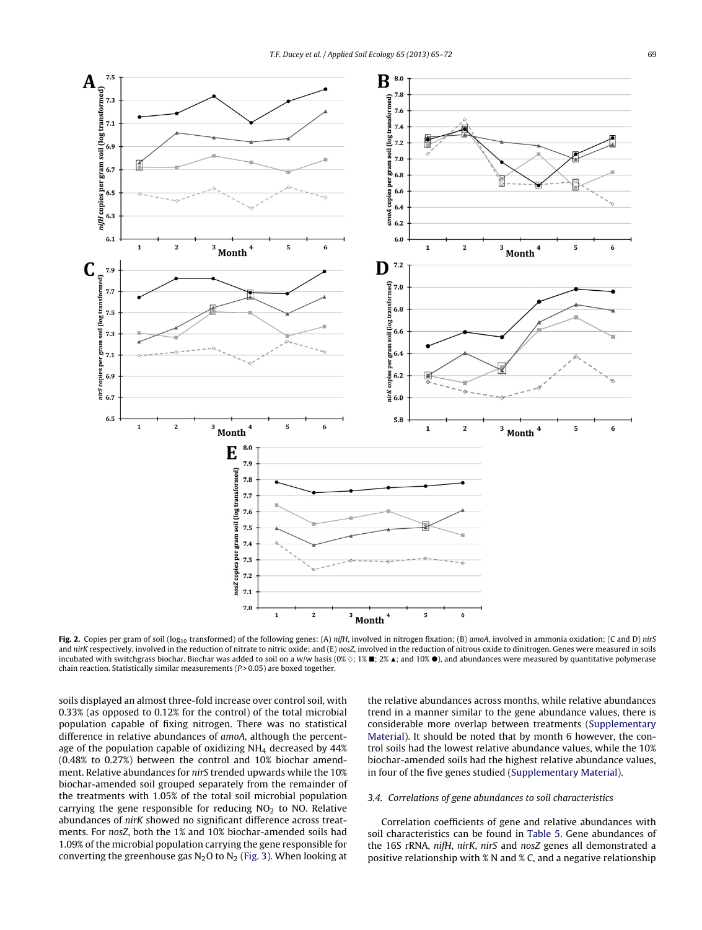<span id="page-4-0"></span>

Fig. 2. Copies per gram of soil (log<sub>10</sub> transformed) of the following genes: (A) nifH, involved in nitrogen fixation; (B) amoA, involved in ammonia oxidation; (C and D) nirS and nirK respectively, involved in the reduction of nitrate to nitric oxide; and (E) nosZ, involved in the reduction of nitrous oxide to dinitrogen. Genes were measured in soils incubated with switchgrass biochar. Biochar was added to soil on a w/w basis (0%  $\Diamond;$  1%  $\blacksquare;$  2%  $\blacktriangle;$  and 10%  $\bullet$  ), and abundances were measured by quantitative polymerase chain reaction. Statistically similar measurements ( $P > 0.05$ ) are boxed together.

soils displayed an almost three-fold increase over control soil, with 0.33% (as opposed to 0.12% for the control) of the total microbial population capable of fixing nitrogen. There was no statistical difference in relative abundances of amoA, although the percentage of the population capable of oxidizing  $NH<sub>4</sub>$  decreased by 44% (0.48% to 0.27%) between the control and 10% biochar amendment. Relative abundances for nirS trended upwards while the 10% biochar-amended soil grouped separately from the remainder of the treatments with 1.05% of the total soil microbial population carrying the gene responsible for reducing  $NO<sub>2</sub>$  to  $NO<sub>2</sub>$ . Relative abundances of nirK showed no significant difference across treatments. For nosZ, both the 1% and 10% biochar-amended soils had 1.09% of the microbial population carrying the gene responsible for converting the greenhouse gas  $N_2O$  to  $N_2$  [\(Fig.](#page-5-0) 3). When looking at the relative abundances across months, while relative abundances trend in a manner similar to the gene abundance values, there is considerable more overlap between treatments [\(Supplementary](#page-6-0) [Material\).](#page-6-0) It should be noted that by month 6 however, the control soils had the lowest relative abundance values, while the 10% biochar-amended soils had the highest relative abundance values, in four of the five genes studied ([Supplementary](#page-6-0) [Material\).](#page-6-0)

# 3.4. Correlations of gene abundances to soil characteristics

Correlation coefficients of gene and relative abundances with soil characteristics can be found in [Table](#page-5-0) 5. Gene abundances of the 16S rRNA, nifH, nirK, nirS and nosZ genes all demonstrated a positive relationship with % N and % C, and a negative relationship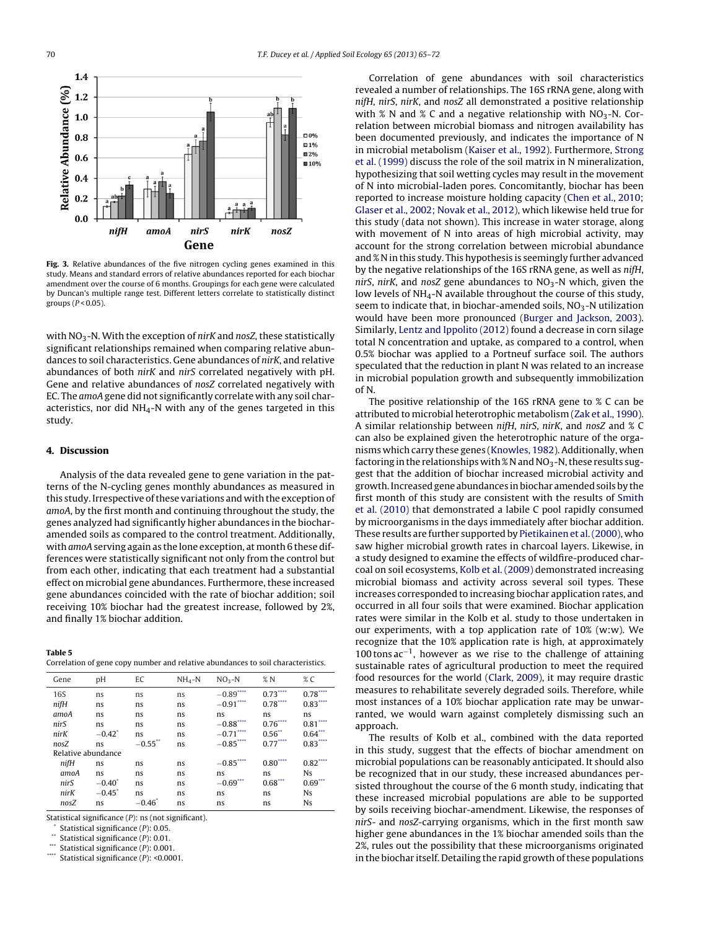<span id="page-5-0"></span>

**Fig. 3.** Relative abundances of the five nitrogen cycling genes examined in this study. Means and standard errors of relative abundances reported for each biochar amendment over the course of 6 months. Groupings for each gene were calculated by Duncan's multiple range test. Different letters correlate to statistically distinct groups ( $P < 0.05$ ).

with  $NO<sub>3</sub>$ -N. With the exception of nirK and nosZ, these statistically significant relationships remained when comparing relative abundances to soil characteristics. Gene abundances of nirK, and relative abundances of both nirK and nirS correlated negatively with pH. Gene and relative abundances of nosZ correlated negatively with EC. The amoA gene did not significantly correlate with any soil characteristics, nor did  $NH_4$ -N with any of the genes targeted in this study.

## **4. Discussion**

Analysis of the data revealed gene to gene variation in the patterns of the N-cycling genes monthly abundances as measured in this study. Irrespective of these variations and with the exception of amoA, by the first month and continuing throughout the study, the genes analyzed had significantly higher abundances in the biocharamended soils as compared to the control treatment. Additionally, with amoA serving again as the lone exception, at month 6 these differences were statistically significant not only from the control but from each other, indicating that each treatment had a substantial effect on microbial gene abundances. Furthermore, these increased gene abundances coincided with the rate of biochar addition; soil receiving 10% biochar had the greatest increase, followed by 2%, and finally 1% biochar addition.

#### **Table 5**

| Gene               | рH        | EC         | $NH_4-N$ | $NO3-N$      | %N        | $\%$ C                    |
|--------------------|-----------|------------|----------|--------------|-----------|---------------------------|
| <b>16S</b>         | ns        | ns         | ns       | $-0.89***$   | $0.73***$ | $0.78^{\ast\ast\ast\ast}$ |
| nifH               | ns        | ns         | ns       | $-0.91***$   | $0.78***$ | $0.83***$                 |
| amoA               | ns        | ns         | ns       | ns           | ns        | ns                        |
| nirS               | ns        | ns         | ns       | $-0.88$ **** | $0.76***$ | $0.81$ <sup>*</sup>       |
| nirK               | $-0.42^*$ | ns         | ns       | $-0.71$ **** | $0.56**$  | $0.64***$                 |
| nosZ               | ns        | $-0.55$ ** | ns       | $-0.85***$   | $0.77***$ | $0.83***$                 |
| Relative abundance |           |            |          |              |           |                           |
| $n$ if $H$         | ns        | ns         | ns       | $-0.85***$   | $0.80***$ | $0.82***$                 |
| amoA               | ns        | ns         | ns       | ns           | ns        | Ns                        |
| nir.S              | $-0.40$   | ns         | ns       | $-0.69$      | $0.68***$ | 0.69                      |
| nirK               | $-0.45^*$ | ns         | ns       | ns           | ns        | Ns                        |
| nosZ               | ns        | $-0.46*$   | ns       | ns           | ns        | <b>Ns</b>                 |

Statistical significance (P): ns (not significant).

- Statistical significance  $(P)$ : 0.05.
- \*\* Statistical significance  $(P)$ : 0.01.
- Statistical significance  $(P)$ : 0.001.
- Statistical significance  $(P)$ : <0.0001.

Correlation of gene abundances with soil characteristics revealed a number of relationships. The 16S rRNA gene, along with nifH, nirS, nirK, and nosZ all demonstrated a positive relationship with % N and % C and a negative relationship with  $NO<sub>3</sub>-N$ . Correlation between microbial biomass and nitrogen availability has been documented previously, and indicates the importance of N in microbial metabolism [\(Kaiser](#page-7-0) et [al.,](#page-7-0) [1992\).](#page-7-0) Furthermore, [Strong](#page-7-0) et [al.](#page-7-0) [\(1999\)](#page-7-0) discuss the role of the soil matrix in N mineralization, hypothesizing that soil wetting cycles may result in the movement of N into microbial-laden pores. Concomitantly, biochar has been reported to increase moisture holding capacity [\(Chen](#page-7-0) et [al.,](#page-7-0) [2010;](#page-7-0) [Glaser](#page-7-0) et [al.,](#page-7-0) [2002;](#page-7-0) [Novak](#page-7-0) et [al.,](#page-7-0) [2012\),](#page-7-0) which likewise held true for this study (data not shown). This increase in water storage, along with movement of N into areas of high microbial activity, may account for the strong correlation between microbial abundance and % N in this study. This hypothesis is seemingly further advanced by the negative relationships of the 16S rRNA gene, as well as nifH, nirS, nirK, and nosZ gene abundances to  $NO<sub>3</sub>-N$  which, given the low levels of NH<sub>4</sub>-N available throughout the course of this study, seem to indicate that, in biochar-amended soils,  $NO<sub>3</sub>$ -N utilization would have been more pronounced [\(Burger](#page-7-0) [and](#page-7-0) [Jackson,](#page-7-0) [2003\).](#page-7-0) Similarly, [Lentz](#page-7-0) [and](#page-7-0) [Ippolito](#page-7-0) [\(2012\)](#page-7-0) found a decrease in corn silage total N concentration and uptake, as compared to a control, when 0.5% biochar was applied to a Portneuf surface soil. The authors speculated that the reduction in plant N was related to an increase in microbial population growth and subsequently immobilization of N.

The positive relationship of the 16S rRNA gene to % C can be attributed to microbial heterotrophic metabolism ([Zak](#page-7-0) et [al.,](#page-7-0) [1990\).](#page-7-0) A similar relationship between nifH, nirS, nirK, and nosZ and % C can also be explained given the heterotrophic nature of the organisms which carry these genes ([Knowles,](#page-7-0) [1982\).](#page-7-0) Additionally, when factoring in the relationships with  $\%$  N and NO<sub>3</sub>-N, these results suggest that the addition of biochar increased microbial activity and growth. Increased gene abundances in biochar amended soils by the first month of this study are consistent with the results of [Smith](#page-7-0) et [al.](#page-7-0) [\(2010\)](#page-7-0) that demonstrated a labile C pool rapidly consumed by microorganisms in the days immediately after biochar addition. These results are further supported by [Pietikainen](#page-7-0) et [al.\(2000\),](#page-7-0) who saw higher microbial growth rates in charcoal layers. Likewise, in a study designed to examine the effects of wildfire-produced charcoal on soil ecosystems, [Kolb](#page-7-0) et [al.](#page-7-0) [\(2009\)](#page-7-0) demonstrated increasing microbial biomass and activity across several soil types. These increases corresponded to increasing biochar application rates, and occurred in all four soils that were examined. Biochar application rates were similar in the Kolb et al. study to those undertaken in our experiments, with a top application rate of 10% (w:w). We recognize that the 10% application rate is high, at approximately  $100$  tons ac<sup>-1</sup>, however as we rise to the challenge of attaining sustainable rates of agricultural production to meet the required food resources for the world ([Clark,](#page-7-0) [2009\),](#page-7-0) it may require drastic measures to rehabilitate severely degraded soils. Therefore, while most instances of a 10% biochar application rate may be unwarranted, we would warn against completely dismissing such an approach.

The results of Kolb et al., combined with the data reported in this study, suggest that the effects of biochar amendment on microbial populations can be reasonably anticipated. It should also be recognized that in our study, these increased abundances persisted throughout the course of the 6 month study, indicating that these increased microbial populations are able to be supported by soils receiving biochar-amendment. Likewise, the responses of nirS- and nosZ-carrying organisms, which in the first month saw higher gene abundances in the 1% biochar amended soils than the 2%, rules out the possibility that these microorganisms originated in the biochar itself. Detailing the rapid growth of these populations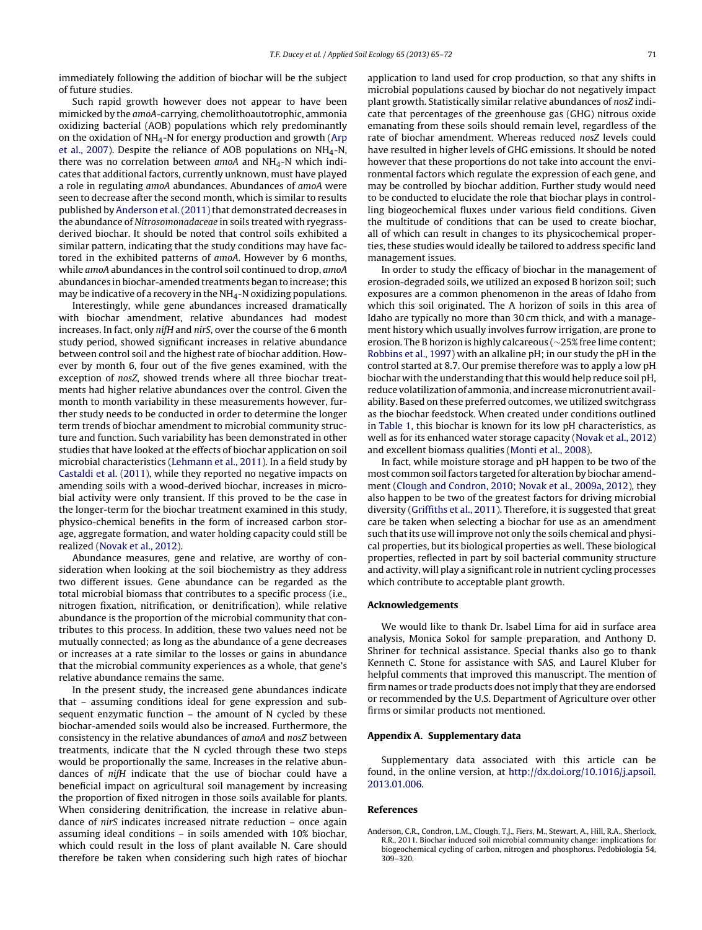<span id="page-6-0"></span>immediately following the addition of biochar will be the subject of future studies.

Such rapid growth however does not appear to have been mimicked by the amoA-carrying, chemolithoautotrophic, ammonia oxidizing bacterial (AOB) populations which rely predominantly on the oxidation of NH4-N for energy production and growth [\(Arp](#page-7-0) et [al.,](#page-7-0) [2007\).](#page-7-0) Despite the reliance of AOB populations on  $NH_4-N$ , there was no correlation between  $amoA$  and  $NH<sub>4</sub>$ -N which indicates that additional factors, currently unknown, must have played a role in regulating amoA abundances. Abundances of amoA were seen to decrease after the second month, which is similar to results published by Anderson et al. (2011) that demonstrated decreases in the abundance of Nitrosomonadaceae in soils treated with ryegrassderived biochar. It should be noted that control soils exhibited a similar pattern, indicating that the study conditions may have factored in the exhibited patterns of amoA. However by 6 months, while amoA abundances in the control soil continued to drop, amoA abundances in biochar-amended treatments began to increase; this may be indicative of a recovery in the  $NH<sub>4</sub>$ -N oxidizing populations.

Interestingly, while gene abundances increased dramatically with biochar amendment, relative abundances had modest increases. In fact, only nifH and nirS, over the course of the 6 month study period, showed significant increases in relative abundance between control soil and the highest rate of biochar addition. However by month 6, four out of the five genes examined, with the exception of nosZ, showed trends where all three biochar treatments had higher relative abundances over the control. Given the month to month variability in these measurements however, further study needs to be conducted in order to determine the longer term trends of biochar amendment to microbial community structure and function. Such variability has been demonstrated in other studies that have looked at the effects of biochar application on soil microbial characteristics [\(Lehmann](#page-7-0) et [al.,](#page-7-0) [2011\).](#page-7-0) In a field study by [Castaldi](#page-7-0) et [al.](#page-7-0) [\(2011\),](#page-7-0) while they reported no negative impacts on amending soils with a wood-derived biochar, increases in microbial activity were only transient. If this proved to be the case in the longer-term for the biochar treatment examined in this study, physico-chemical benefits in the form of increased carbon storage, aggregate formation, and water holding capacity could still be realized [\(Novak](#page-7-0) et [al.,](#page-7-0) [2012\).](#page-7-0)

Abundance measures, gene and relative, are worthy of consideration when looking at the soil biochemistry as they address two different issues. Gene abundance can be regarded as the total microbial biomass that contributes to a specific process (i.e., nitrogen fixation, nitrification, or denitrification), while relative abundance is the proportion of the microbial community that contributes to this process. In addition, these two values need not be mutually connected; as long as the abundance of a gene decreases or increases at a rate similar to the losses or gains in abundance that the microbial community experiences as a whole, that gene's relative abundance remains the same.

In the present study, the increased gene abundances indicate that – assuming conditions ideal for gene expression and subsequent enzymatic function – the amount of N cycled by these biochar-amended soils would also be increased. Furthermore, the consistency in the relative abundances of amoA and nosZ between treatments, indicate that the N cycled through these two steps would be proportionally the same. Increases in the relative abundances of nifH indicate that the use of biochar could have a beneficial impact on agricultural soil management by increasing the proportion of fixed nitrogen in those soils available for plants. When considering denitrification, the increase in relative abundance of nirS indicates increased nitrate reduction – once again assuming ideal conditions – in soils amended with 10% biochar, which could result in the loss of plant available N. Care should therefore be taken when considering such high rates of biochar

application to land used for crop production, so that any shifts in microbial populations caused by biochar do not negatively impact plant growth. Statistically similar relative abundances of nosZ indicate that percentages of the greenhouse gas (GHG) nitrous oxide emanating from these soils should remain level, regardless of the rate of biochar amendment. Whereas reduced nosZ levels could have resulted in higher levels of GHG emissions. It should be noted however that these proportions do not take into account the environmental factors which regulate the expression of each gene, and may be controlled by biochar addition. Further study would need to be conducted to elucidate the role that biochar plays in controlling biogeochemical fluxes under various field conditions. Given the multitude of conditions that can be used to create biochar, all of which can result in changes to its physicochemical properties, these studies would ideally be tailored to address specific land management issues.

In order to study the efficacy of biochar in the management of erosion-degraded soils, we utilized an exposed B horizon soil; such exposures are a common phenomenon in the areas of Idaho from which this soil originated. The A horizon of soils in this area of Idaho are typically no more than 30 cm thick, and with a management history which usually involves furrow irrigation, are prone to erosion. The B horizon is highly calcareous (∼25% free lime content; [Robbins](#page-7-0) et [al.,](#page-7-0) [1997\)](#page-7-0) with an alkaline pH; in our study the pH in the control started at 8.7. Our premise therefore was to apply a low pH biochar with the understanding that this would help reduce soil pH, reduce volatilization of ammonia, and increase micronutrient availability. Based on these preferred outcomes, we utilized switchgrass as the biochar feedstock. When created under conditions outlined in [Table](#page-1-0) 1, this biochar is known for its low pH characteristics, as well as for its enhanced water storage capacity ([Novak](#page-7-0) et [al.,](#page-7-0) [2012\)](#page-7-0) and excellent biomass qualities ([Monti](#page-7-0) et [al.,](#page-7-0) [2008\).](#page-7-0)

In fact, while moisture storage and pH happen to be two of the most common soilfactors targeted for alteration by biochar amendment ([Clough](#page-7-0) [and](#page-7-0) [Condron,](#page-7-0) [2010;](#page-7-0) [Novak](#page-7-0) et [al.,](#page-7-0) [2009a,](#page-7-0) [2012\),](#page-7-0) they also happen to be two of the greatest factors for driving microbial diversity ([Griffiths](#page-7-0) et [al.,](#page-7-0) [2011\).](#page-7-0) Therefore, it is suggested that great care be taken when selecting a biochar for use as an amendment such that its use will improve not only the soils chemical and physical properties, but its biological properties as well. These biological properties, reflected in part by soil bacterial community structure and activity, will play a significant role in nutrient cycling processes which contribute to acceptable plant growth.

### **Acknowledgements**

We would like to thank Dr. Isabel Lima for aid in surface area analysis, Monica Sokol for sample preparation, and Anthony D. Shriner for technical assistance. Special thanks also go to thank Kenneth C. Stone for assistance with SAS, and Laurel Kluber for helpful comments that improved this manuscript. The mention of firm names or trade products does not imply that they are endorsed or recommended by the U.S. Department of Agriculture over other firms or similar products not mentioned.

#### **Appendix A. Supplementary data**

Supplementary data associated with this article can be found, in the online version, at [http://dx.doi.org/10.1016/j.apsoil.](http://dx.doi.org/10.1016/j.apsoil.2013.01.006) [2013.01.006](http://dx.doi.org/10.1016/j.apsoil.2013.01.006).

#### **References**

Anderson, C.R., Condron, L.M., Clough, T.J., Fiers, M., Stewart, A., Hill, R.A., Sherlock, R.R., 2011. Biochar induced soil microbial community change: implications for biogeochemical cycling of carbon, nitrogen and phosphorus. Pedobiologia 54, 309–320.